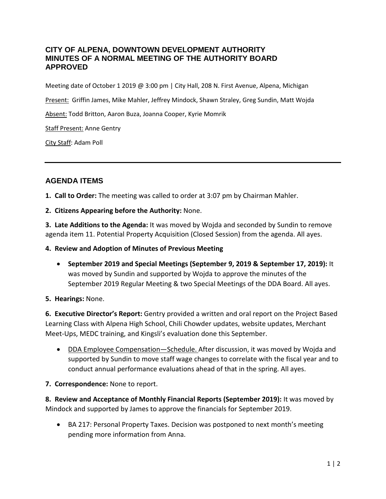## **CITY OF ALPENA, DOWNTOWN DEVELOPMENT AUTHORITY MINUTES OF A NORMAL MEETING OF THE AUTHORITY BOARD APPROVED**

Meeting date of October 1 2019 @ 3:00 pm | City Hall, 208 N. First Avenue, Alpena, Michigan

Present: Griffin James, Mike Mahler, Jeffrey Mindock, Shawn Straley, Greg Sundin, Matt Wojda

Absent: Todd Britton, Aaron Buza, Joanna Cooper, Kyrie Momrik

Staff Present: Anne Gentry

City Staff: Adam Poll

# **AGENDA ITEMS**

**1. Call to Order:** The meeting was called to order at 3:07 pm by Chairman Mahler.

**2. Citizens Appearing before the Authority:** None.

**3. Late Additions to the Agenda:** It was moved by Wojda and seconded by Sundin to remove agenda item 11. Potential Property Acquisition (Closed Session) from the agenda. All ayes.

**4. Review and Adoption of Minutes of Previous Meeting**

• **September 2019 and Special Meetings (September 9, 2019 & September 17, 2019):** It was moved by Sundin and supported by Wojda to approve the minutes of the September 2019 Regular Meeting & two Special Meetings of the DDA Board. All ayes.

#### **5. Hearings:** None.

**6. Executive Director's Report:** Gentry provided a written and oral report on the Project Based Learning Class with Alpena High School, Chili Chowder updates, website updates, Merchant Meet-Ups, MEDC training, and Kingsli's evaluation done this September.

• DDA Employee Compensation—Schedule. After discussion, it was moved by Wojda and supported by Sundin to move staff wage changes to correlate with the fiscal year and to conduct annual performance evaluations ahead of that in the spring. All ayes.

## **7. Correspondence:** None to report.

**8. Review and Acceptance of Monthly Financial Reports (September 2019):** It was moved by Mindock and supported by James to approve the financials for September 2019.

• BA 217: Personal Property Taxes. Decision was postponed to next month's meeting pending more information from Anna.